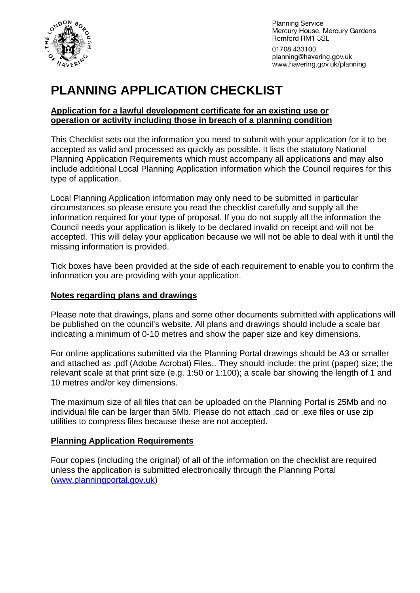

**Planning Service** Mercury House, Mercury Gardens Romford RM1 3SL

01708 433100 planning@havering.gov.uk www.havering.gov.uk/planning

# **PLANNING APPLICATION CHECKLIST**

#### **Application for a lawful development certificate for an existing use or operation or activity including those in breach of a planning condition**

This Checklist sets out the information you need to submit with your application for it to be accepted as valid and processed as quickly as possible. It lists the statutory National Planning Application Requirements which must accompany all applications and may also include additional Local Planning Application information which the Council requires for this type of application.

Local Planning Application information may only need to be submitted in particular circumstances so please ensure you read the checklist carefully and supply all the information required for your type of proposal. If you do not supply all the information the Council needs your application is likely to be declared invalid on receipt and will not be accepted. This will delay your application because we will not be able to deal with it until the missing information is provided.

Tick boxes have been provided at the side of each requirement to enable you to confirm the information you are providing with your application.

#### **Notes regarding plans and drawings**

Please note that drawings, plans and some other documents submitted with applications will be published on the council's website. All plans and drawings should include a scale bar indicating a minimum of 0-10 metres and show the paper size and key dimensions.

For online applications submitted via the Planning Portal drawings should be A3 or smaller and attached as .pdf (Adobe Acrobat) Files.. They should include: the print (paper) size; the relevant scale at that print size (e.g. 1:50 or 1:100); a scale bar showing the length of 1 and 10 metres and/or key dimensions.

The maximum size of all files that can be uploaded on the Planning Portal is 25Mb and no individual file can be larger than 5Mb. Please do not attach .cad or .exe files or use zip utilities to compress files because these are not accepted.

# **Planning Application Requirements**

Four copies (including the original) of all of the information on the checklist are required unless the application is submitted electronically through the Planning Portal ([www.planningportal.gov.uk](http://www.planningportal.gov.uk/))